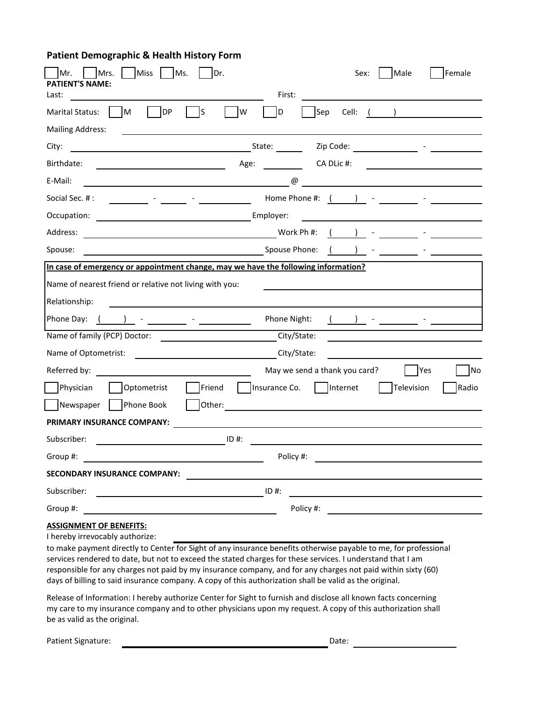## **Patient Demographic & Health History Form**

| Mrs.<br><b>Miss</b><br>Ms.<br>Dr.                                                                                                                                                                                                                                                                                                                                                                                                                                                          | Female<br>Sex:<br>Male                            |
|--------------------------------------------------------------------------------------------------------------------------------------------------------------------------------------------------------------------------------------------------------------------------------------------------------------------------------------------------------------------------------------------------------------------------------------------------------------------------------------------|---------------------------------------------------|
| <b>ENT'S NAME:</b><br>PATI<br>Last:                                                                                                                                                                                                                                                                                                                                                                                                                                                        | First:                                            |
| DP<br>ls<br><b>M</b><br>W<br>Marital Status:                                                                                                                                                                                                                                                                                                                                                                                                                                               | D<br>Sep<br>Cell: ( <u>)</u>                      |
| <b>Mailing Address:</b>                                                                                                                                                                                                                                                                                                                                                                                                                                                                    |                                                   |
| City:                                                                                                                                                                                                                                                                                                                                                                                                                                                                                      |                                                   |
| Birthdate:<br>Age:<br><u> 1980 - Johann Barn, fransk politik (d. 1980)</u>                                                                                                                                                                                                                                                                                                                                                                                                                 | CA DLic #:                                        |
| E-Mail:<br>$\overline{\phantom{a}}$ $\overline{\phantom{a}}$ $\overline{\phantom{a}}$ $\overline{\phantom{a}}$ $\overline{\phantom{a}}$ $\overline{\phantom{a}}$ $\overline{\phantom{a}}$ $\overline{\phantom{a}}$ $\overline{\phantom{a}}$ $\overline{\phantom{a}}$ $\overline{\phantom{a}}$ $\overline{\phantom{a}}$ $\overline{\phantom{a}}$ $\overline{\phantom{a}}$ $\overline{\phantom{a}}$ $\overline{\phantom{a}}$ $\overline{\phantom{a}}$ $\overline{\phantom{a}}$ $\overline{\$ |                                                   |
| Social Sec. #:<br><u> 1999 - Jan Barnett, film ann an Angelsk foar de Frysk kalender († 1908)</u>                                                                                                                                                                                                                                                                                                                                                                                          | Home Phone #: $($ $)$ $ -$                        |
| Occupation:<br><u> Alexandria de la contrada de la contrada de la con</u>                                                                                                                                                                                                                                                                                                                                                                                                                  | Employer:                                         |
| Work Ph #:<br>Address:                                                                                                                                                                                                                                                                                                                                                                                                                                                                     | $($ ) –                                           |
| <b>Example 20</b> Spouse Phone:<br>Spouse:                                                                                                                                                                                                                                                                                                                                                                                                                                                 | ) $-$                                             |
| In case of emergency or appointment change, may we have the following information?                                                                                                                                                                                                                                                                                                                                                                                                         |                                                   |
| Name of nearest friend or relative not living with you:                                                                                                                                                                                                                                                                                                                                                                                                                                    |                                                   |
| Relationship:                                                                                                                                                                                                                                                                                                                                                                                                                                                                              |                                                   |
| Phone Day: (<br>$\left( \begin{array}{cc} 0 & -1 \ 0 & -1 \end{array} \right)$                                                                                                                                                                                                                                                                                                                                                                                                             | Phone Night:                                      |
| Name of family (PCP) Doctor:                                                                                                                                                                                                                                                                                                                                                                                                                                                               | City/State:                                       |
| City/State:<br>Name of Optometrist:                                                                                                                                                                                                                                                                                                                                                                                                                                                        |                                                   |
| Referred by:<br><u> 1989 - Johann Barbara, martin a</u>                                                                                                                                                                                                                                                                                                                                                                                                                                    | May we send a thank you card?<br><b>No</b><br>Yes |
| Physician<br>Friend<br>Optometrist                                                                                                                                                                                                                                                                                                                                                                                                                                                         | Insurance Co.   Internet<br>Television<br>Radio   |
| Phone Book<br>Newspaper                                                                                                                                                                                                                                                                                                                                                                                                                                                                    |                                                   |
| PRIMARY INSURANCE COMPANY:                                                                                                                                                                                                                                                                                                                                                                                                                                                                 |                                                   |
| Subscriber:<br>$\overline{\phantom{a}}$ ID #:                                                                                                                                                                                                                                                                                                                                                                                                                                              |                                                   |
| Group #:                                                                                                                                                                                                                                                                                                                                                                                                                                                                                   | Policy #:                                         |
| SECONDARY INSURANCE COMPANY:                                                                                                                                                                                                                                                                                                                                                                                                                                                               |                                                   |
| Subscriber:<br>$\overline{\phantom{a}}$ ID #:                                                                                                                                                                                                                                                                                                                                                                                                                                              |                                                   |
| Group #:                                                                                                                                                                                                                                                                                                                                                                                                                                                                                   |                                                   |
| <b>ASSIGNMENT OF BENEFITS:</b>                                                                                                                                                                                                                                                                                                                                                                                                                                                             |                                                   |

I hereby irrevocably authorize:

to make payment directly to Center for Sight of any insurance benefits otherwise payable to me, for professional services rendered to date, but not to exceed the stated charges for these services. I understand that I am responsible for any charges not paid by my insurance company, and for any charges not paid within sixty (60) days of billing to said insurance company. A copy of this authorization shall be valid as the original.

Release of Information: I hereby authorize Center for Sight to furnish and disclose all known facts concerning my care to my insurance company and to other physicians upon my request. A copy of this authorization shall be as valid as the original.

Patient Signature: Date: